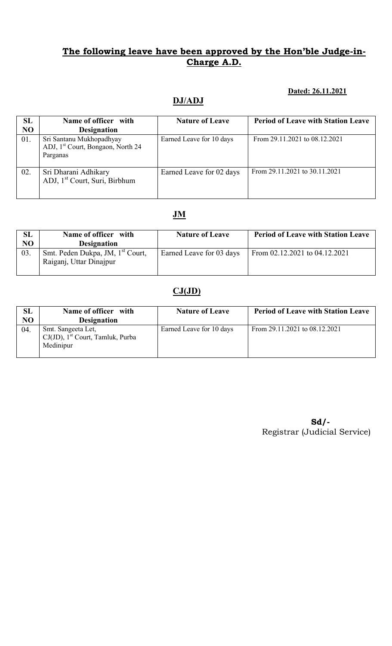#### Dated: 26.11.2021

## DJ/ADJ

| SL<br>N <sub>O</sub> | Name of officer with<br><b>Designation</b>                                            | <b>Nature of Leave</b>   | <b>Period of Leave with Station Leave</b> |
|----------------------|---------------------------------------------------------------------------------------|--------------------------|-------------------------------------------|
| 01.                  | Sri Santanu Mukhopadhyay<br>ADJ, 1 <sup>st</sup> Court, Bongaon, North 24<br>Parganas | Earned Leave for 10 days | From 29.11.2021 to 08.12.2021             |
| 02.                  | Sri Dharani Adhikary<br>ADJ, 1 <sup>st</sup> Court, Suri, Birbhum                     | Earned Leave for 02 days | From 29.11.2021 to 30.11.2021             |

# JM

| SL  | Name of officer with                                                    | <b>Nature of Leave</b>   | <b>Period of Leave with Station Leave</b> |
|-----|-------------------------------------------------------------------------|--------------------------|-------------------------------------------|
| NO  | <b>Designation</b>                                                      |                          |                                           |
| 03. | Smt. Peden Dukpa, JM, 1 <sup>st</sup> Court,<br>Raiganj, Uttar Dinajpur | Earned Leave for 03 days | From 02.12.2021 to 04.12.2021             |

## $CJ(JD)$

| SL             | Name of officer with                                                               | <b>Nature of Leave</b>   | <b>Period of Leave with Station Leave</b> |
|----------------|------------------------------------------------------------------------------------|--------------------------|-------------------------------------------|
| N <sub>O</sub> | <b>Designation</b>                                                                 |                          |                                           |
| 04.            | Smt. Sangeeta Let,<br>$CJ(JD)$ , 1 <sup>st</sup> Court, Tamluk, Purba<br>Medinipur | Earned Leave for 10 days | From 29.11.2021 to 08.12.2021             |

Sd/- Registrar (Judicial Service)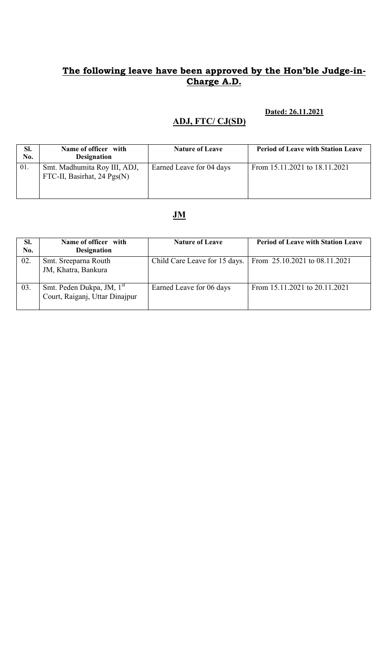#### Dated: 26.11.2021

# ADJ, FTC/ CJ(SD)

| SI.<br>No. | Name of officer with<br><b>Designation</b>                    | <b>Nature of Leave</b>   | <b>Period of Leave with Station Leave</b> |
|------------|---------------------------------------------------------------|--------------------------|-------------------------------------------|
| 01.        | Smt. Madhumita Roy III, ADJ,<br>FTC-II, Basirhat, 24 $Pgs(N)$ | Earned Leave for 04 days | From 15.11.2021 to 18.11.2021             |

## JM

| Sl.<br>No. | Name of officer with<br><b>Designation</b>                              | <b>Nature of Leave</b>   | <b>Period of Leave with Station Leave</b>                     |
|------------|-------------------------------------------------------------------------|--------------------------|---------------------------------------------------------------|
| 02.        | Smt. Sreeparna Routh<br>JM, Khatra, Bankura                             |                          | Child Care Leave for 15 days.   From 25.10.2021 to 08.11.2021 |
| 03.        | Smt. Peden Dukpa, JM, 1 <sup>st</sup><br>Court, Raiganj, Uttar Dinajpur | Earned Leave for 06 days | From 15.11.2021 to 20.11.2021                                 |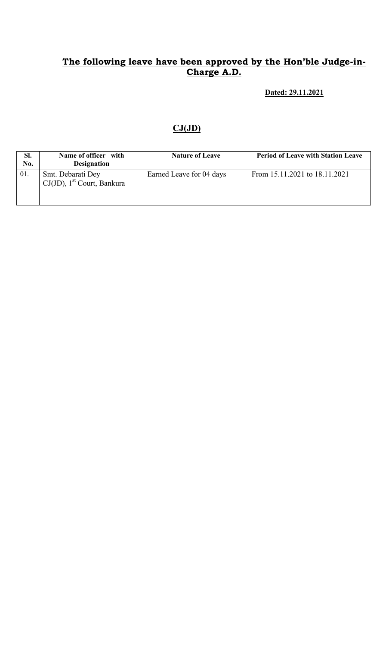Dated: 29.11.2021

### $CJ(JD)$

| SI.<br>No. | Name of officer with<br><b>Designation</b>                     | <b>Nature of Leave</b>   | <b>Period of Leave with Station Leave</b> |
|------------|----------------------------------------------------------------|--------------------------|-------------------------------------------|
| 01.        | Smt. Debarati Dey<br>$CJ(JD)$ , 1 <sup>st</sup> Court, Bankura | Earned Leave for 04 days | From 15.11.2021 to 18.11.2021             |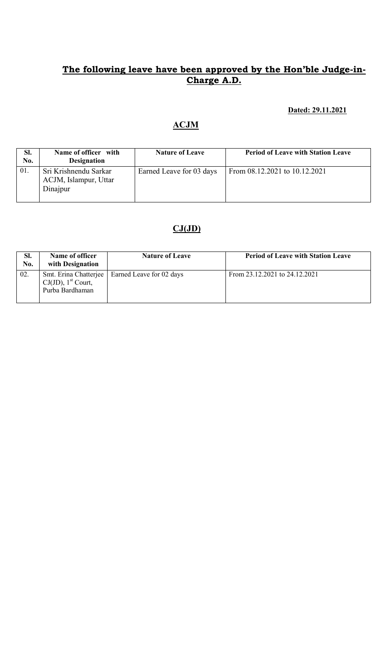### Dated: 29.11.2021

## ACJM

| SI.<br>No. | Name of officer with<br><b>Designation</b>                 | <b>Nature of Leave</b>   | <b>Period of Leave with Station Leave</b> |
|------------|------------------------------------------------------------|--------------------------|-------------------------------------------|
| 01.        | Sri Krishnendu Sarkar<br>ACJM, Islampur, Uttar<br>Dinajpur | Earned Leave for 03 days | From 08.12.2021 to 10.12.2021             |

# $CJ(JD)$

| SI.<br>No. | Name of officer<br>with Designation                                           | <b>Nature of Leave</b>   | <b>Period of Leave with Station Leave</b> |
|------------|-------------------------------------------------------------------------------|--------------------------|-------------------------------------------|
| 02.        | Smt. Erina Chatterjee<br>$CJ(JD)$ , 1 <sup>st</sup> Court,<br>Purba Bardhaman | Earned Leave for 02 days | From 23.12.2021 to 24.12.2021             |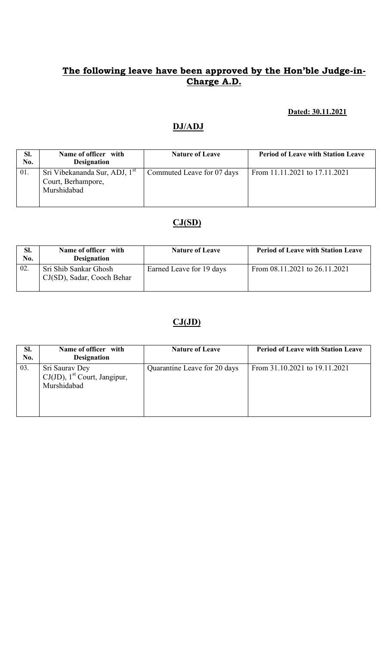#### Dated: 30.11.2021

## DJ/ADJ

| SI.<br>No. | Name of officer with<br><b>Designation</b>                                     | <b>Nature of Leave</b>     | <b>Period of Leave with Station Leave</b> |
|------------|--------------------------------------------------------------------------------|----------------------------|-------------------------------------------|
| 01.        | Sri Vibekananda Sur, ADJ, 1 <sup>st</sup><br>Court, Berhampore,<br>Murshidabad | Commuted Leave for 07 days | From 11.11.2021 to 17.11.2021             |

## $CJ(SD)$

| SI.<br>No. | Name of officer with<br><b>Designation</b>          | <b>Nature of Leave</b>   | <b>Period of Leave with Station Leave</b> |
|------------|-----------------------------------------------------|--------------------------|-------------------------------------------|
| 02.        | Sri Shib Sankar Ghosh<br>CJ(SD), Sadar, Cooch Behar | Earned Leave for 19 days | From $08.11.2021$ to $26.11.2021$         |

### $CJ(JD)$

| SI.<br>No. | Name of officer with<br><b>Designation</b>                                   | <b>Nature of Leave</b>       | <b>Period of Leave with Station Leave</b> |
|------------|------------------------------------------------------------------------------|------------------------------|-------------------------------------------|
| 03.        | Sri Saurav Dey<br>$CJ(JD)$ , 1 <sup>st</sup> Court, Jangipur,<br>Murshidabad | Quarantine Leave for 20 days | From 31.10.2021 to 19.11.2021             |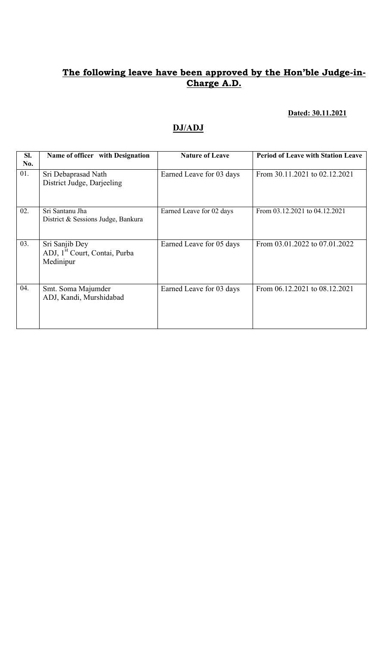#### Dated: 30.11.2021

## DJ/ADJ

| Sl.<br>No. | Name of officer with Designation                                         | <b>Nature of Leave</b>   | <b>Period of Leave with Station Leave</b> |
|------------|--------------------------------------------------------------------------|--------------------------|-------------------------------------------|
| 01.        | Sri Debaprasad Nath<br>District Judge, Darjeeling                        | Earned Leave for 03 days | From 30.11.2021 to 02.12.2021             |
| 02.        | Sri Santanu Jha<br>District & Sessions Judge, Bankura                    | Earned Leave for 02 days | From 03.12.2021 to 04.12.2021             |
| 03.        | Sri Sanjib Dey<br>ADJ, 1 <sup>st</sup> Court, Contai, Purba<br>Medinipur | Earned Leave for 05 days | From 03.01.2022 to 07.01.2022             |
| 04.        | Smt. Soma Majumder<br>ADJ, Kandi, Murshidabad                            | Earned Leave for 03 days | From 06.12.2021 to 08.12.2021             |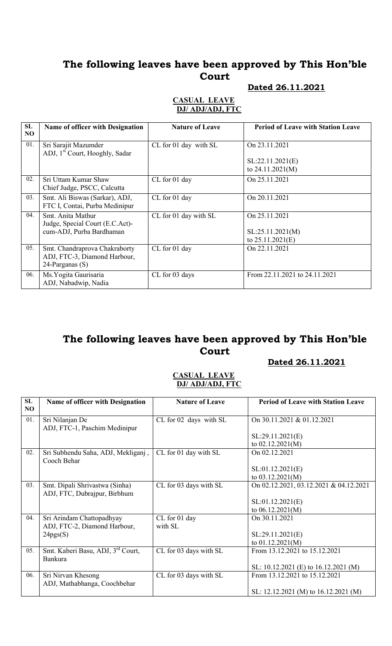# The following leaves have been approved by This Hon'ble Court

#### Dated 26.11.2021

#### CASUAL LEAVE DJ/ ADJ/ADJ, FTC

| SL<br>N <sub>O</sub> | Name of officer with Designation                                                 | <b>Nature of Leave</b> | <b>Period of Leave with Station Leave</b> |
|----------------------|----------------------------------------------------------------------------------|------------------------|-------------------------------------------|
| 01.                  | Sri Sarajit Mazumder<br>ADJ, 1 <sup>st</sup> Court, Hooghly, Sadar               | CL for 01 day with SL  | On 23.11.2021                             |
|                      |                                                                                  |                        | SL:22.11.2021(E)<br>to $24.11.2021(M)$    |
| 02.                  | Sri Uttam Kumar Shaw<br>Chief Judge, PSCC, Calcutta                              | CL for 01 day          | On 25.11.2021                             |
| 03.                  | Smt. Ali Biswas (Sarkar), ADJ,<br>FTC I, Contai, Purba Medinipur                 | CL for 01 day          | On 20.11.2021                             |
| 04.                  | Smt Anita Mathur<br>Judge, Special Court (E.C.Act)-                              | CL for 01 day with SL  | On 25.11.2021                             |
|                      | cum-ADJ, Purba Bardhaman                                                         |                        | SL:25.11.2021(M)<br>to $25.11.2021(E)$    |
| 05.                  | Smt. Chandraprova Chakraborty<br>ADJ, FTC-3, Diamond Harbour,<br>24-Parganas (S) | CL for 01 day          | On 22.11.2021                             |
| 06.                  | Ms. Yogita Gaurisaria<br>ADJ, Nabadwip, Nadia                                    | CL for 03 days         | From 22.11.2021 to 24.11.2021             |

## The following leaves have been approved by This Hon'ble Court

#### Dated 26.11.2021

#### CASUAL LEAVE DJ/ ADJ/ADJ, FTC

| SL<br>N <sub>O</sub> | <b>Name of officer with Designation</b> | <b>Nature of Leave</b> | <b>Period of Leave with Station Leave</b> |
|----------------------|-----------------------------------------|------------------------|-------------------------------------------|
| 01.                  | Sri Nilanjan De                         | CL for 02 days with SL | On 30.11.2021 & 01.12.2021                |
|                      | ADJ, FTC-1, Paschim Medinipur           |                        |                                           |
|                      |                                         |                        | SL:29.11.2021(E)                          |
|                      |                                         |                        | to $02.12.2021(M)$                        |
| 02.                  | Sri Subhendu Saha, ADJ, Mekliganj,      | CL for 01 day with SL  | On 02.12.2021                             |
|                      | Cooch Behar                             |                        |                                           |
|                      |                                         |                        | SL:01.12.2021(E)                          |
|                      |                                         |                        | to $03.12.2021(M)$                        |
| 03.                  | Smt. Dipali Shrivastwa (Sinha)          | CL for 03 days with SL | On 02.12.2021, 03.12.2021 & 04.12.2021    |
|                      | ADJ, FTC, Dubrajpur, Birbhum            |                        |                                           |
|                      |                                         |                        | SL:01.12.2021(E)                          |
|                      |                                         |                        | to $06.12.2021(M)$                        |
| 04.                  | Sri Arindam Chattopadhyay               | CL for 01 day          | On 30.11.2021                             |
|                      | ADJ, FTC-2, Diamond Harbour,            | with SL                |                                           |
|                      | 24pgs(S)                                |                        | SL:29.11.2021(E)                          |
|                      |                                         |                        | to $01.12.2021(M)$                        |
| 05.                  | Smt. Kaberi Basu, ADJ, 3rd Court,       | CL for 03 days with SL | From 13.12.2021 to 15.12.2021             |
|                      | <b>Bankura</b>                          |                        |                                           |
|                      |                                         |                        | SL: 10.12.2021 (E) to $16.12.2021$ (M)    |
| 06.                  | Sri Nirvan Khesong                      | CL for 03 days with SL | From 13.12.2021 to 15.12.2021             |
|                      | ADJ, Mathabhanga, Coochbehar            |                        |                                           |
|                      |                                         |                        | SL: 12.12.2021 (M) to 16.12.2021 (M)      |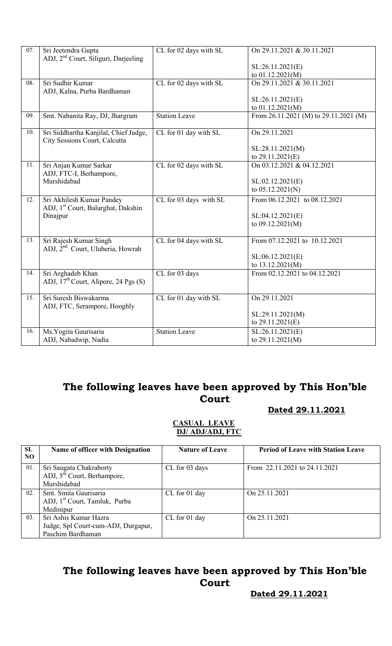| 07. | Sri Jeetendra Gupta                              | CL for 02 days with SL | On 29.11.2021 & 30.11.2021            |
|-----|--------------------------------------------------|------------------------|---------------------------------------|
|     | ADJ, 2 <sup>nd</sup> Court, Siliguri, Darjeeling |                        |                                       |
|     |                                                  |                        | SL:26.11.2021(E)                      |
|     |                                                  |                        | to 01.12.2021(M)                      |
| 08. | Sri Sudhir Kumar                                 | CL for 02 days with SL | On 29.11.2021 & 30.11.2021            |
|     | ADJ, Kalna, Purba Bardhaman                      |                        |                                       |
|     |                                                  |                        | SL:26.11.2021(E)                      |
|     |                                                  |                        | to 01.12.2021(M)                      |
| 09. | Smt. Nabanita Ray, DJ, Jhargram                  | <b>Station Leave</b>   | From 26.11.2021 (M) to 29.11.2021 (M) |
|     |                                                  |                        |                                       |
| 10. | Sri Siddhartha Kanjilal, Chief Judge,            | CL for 01 day with SL  | On 29.11.2021                         |
|     | City Sessions Court, Calcutta                    |                        |                                       |
|     |                                                  |                        | SL:28.11.2021(M)                      |
|     |                                                  |                        | to 29.11.2021(E)                      |
| 11. | Sri Anjan Kumar Sarkar                           | CL for 02 days with SL | On 03.12.2021 & 04.12.2021            |
|     | ADJ, FTC-I, Berhampore,                          |                        |                                       |
|     | Murshidabad                                      |                        | SL:02.12.2021(E)                      |
|     |                                                  |                        | to $05.12.2021(N)$                    |
| 12. | Sri Akhilesh Kumar Pandey                        | CL for 03 days with SL | From 06.12.2021 to 08.12.2021         |
|     | ADJ, 1 <sup>st</sup> Court, Balurghat, Dakshin   |                        |                                       |
|     | Dinajpur                                         |                        | SL:04.12.2021(E)                      |
|     |                                                  |                        | to 09.12.2021(M)                      |
|     |                                                  |                        |                                       |
| 13. | Sri Rajesh Kumar Singh                           | CL for 04 days with SL | From 07.12.2021 to 10.12.2021         |
|     | ADJ, 2 <sup>nd</sup> Court, Uluberia, Howrah     |                        |                                       |
|     |                                                  |                        | SL:06.12.2021(E)                      |
|     |                                                  |                        | to 13.12.2021(M)                      |
| 14. | Sri Arghadeb Khan                                | CL for 03 days         | From 02.12.2021 to 04.12.2021         |
|     | ADJ, $17th$ Court, Alipore, 24 Pgs (S)           |                        |                                       |
|     |                                                  |                        |                                       |
| 15. | Sri Suresh Biswakarma                            | CL for 01 day with SL  | On 29.11.2021                         |
|     | ADJ, FTC, Serampore, Hooghly                     |                        |                                       |
|     |                                                  |                        | SL:29.11.2021(M)                      |
|     |                                                  |                        | to 29.11.2021(E)                      |
| 16. | Ms. Yogita Gaurisaria                            | <b>Station Leave</b>   | SL:26.11.2021(E)                      |
|     | ADJ, Nabadwip, Nadia                             |                        | to 29.11.2021(M)                      |
|     |                                                  |                        |                                       |

## The following leaves have been approved by This Hon'ble Court

#### Dated 29.11.2021

#### CASUAL LEAVE DJ/ ADJ/ADJ, FTC

| SL<br>NO. | Name of officer with Designation                                                  | <b>Nature of Leave</b> | <b>Period of Leave with Station Leave</b> |
|-----------|-----------------------------------------------------------------------------------|------------------------|-------------------------------------------|
| 01.       | Sri Saugata Chakraborty<br>ADJ, 5 <sup>th</sup> Court, Berhampore,<br>Murshidabad | CL for 03 days         | From 22.11.2021 to 24.11.2021             |
| 02.       | Smt. Smita Gaurisaria<br>ADJ, 1 <sup>st</sup> Court, Tamluk, Purba<br>Medinipur   | CL for 01 day          | On 25.11.2021                             |
| 03.       | Sri Ashis Kumar Hazra<br>Judge, Spl Court-cum-ADJ, Durgapur,<br>Paschim Bardhaman | CL for 01 day          | On 25.11.2021                             |

# The following leaves have been approved by This Hon'ble Court

Dated 29.11.2021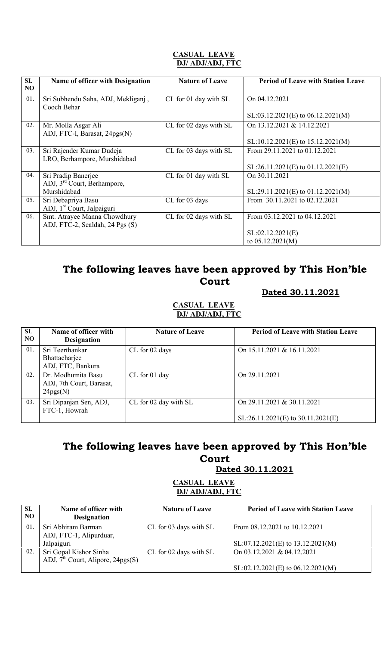#### CASUAL LEAVE DJ/ ADJ/ADJ, FTC

| SL<br>NO | Name of officer with Designation                       | <b>Nature of Leave</b> | <b>Period of Leave with Station Leave</b> |
|----------|--------------------------------------------------------|------------------------|-------------------------------------------|
| 01.      | Sri Subhendu Saha, ADJ, Mekliganj,<br>Cooch Behar      | CL for 01 day with SL  | On 04.12.2021                             |
|          |                                                        |                        | $SL: 03.12.2021(E)$ to $06.12.2021(M)$    |
| 02.      | Mr. Molla Asgar Ali<br>ADJ, FTC-I, Barasat, 24pgs(N)   | CL for 02 days with SL | On 13.12.2021 & 14.12.2021                |
|          |                                                        |                        | $SL:10.12.2021(E)$ to $15.12.2021(M)$     |
| 03.      | Sri Rajender Kumar Dudeja                              | CL for 03 days with SL | From 29.11.2021 to 01.12.2021             |
|          | LRO, Berhampore, Murshidabad                           |                        | $SL:26.11.2021(E)$ to $01.12.2021(E)$     |
| 04.      | Sri Pradip Banerjee                                    | CL for 01 day with SL  | On 30.11.2021                             |
|          | ADJ, 3 <sup>rd</sup> Court, Berhampore,<br>Murshidabad |                        | $SL:29.11.2021(E)$ to 01.12.2021(M)       |
| 05.      | Sri Debapriya Basu                                     | CL for 03 days         | From 30.11.2021 to 02.12.2021             |
|          | ADJ, 1 <sup>st</sup> Court, Jalpaiguri                 |                        |                                           |
| 06.      | Smt. Atrayee Manna Chowdhury                           | CL for 02 days with SL | From 03.12.2021 to 04.12.2021             |
|          | ADJ, FTC-2, Sealdah, 24 Pgs (S)                        |                        |                                           |
|          |                                                        |                        | SL:02.12.2021(E)                          |
|          |                                                        |                        | to $05.12.2021(M)$                        |

# The following leaves have been approved by This Hon'ble Court

#### Dated 30.11.2021

#### CASUAL LEAVE DJ/ ADJ/ADJ, FTC

| SL<br>NO | Name of officer with<br><b>Designation</b>                 | <b>Nature of Leave</b> | <b>Period of Leave with Station Leave</b>                         |
|----------|------------------------------------------------------------|------------------------|-------------------------------------------------------------------|
| 01.      | Sri Teerthankar<br>Bhattacharjee<br>ADJ, FTC, Bankura      | CL for 02 days         | On 15.11.2021 & 16.11.2021                                        |
| 02.      | Dr. Modhumita Basu<br>ADJ, 7th Court, Barasat,<br>24pgs(N) | CL for 01 day          | On 29.11.2021                                                     |
| 03.      | Sri Dipanjan Sen, ADJ,<br>FTC-1, Howrah                    | CL for 02 day with SL  | On 29.11.2021 & 30.11.2021<br>$SL:26.11.2021(E)$ to 30.11.2021(E) |

# The following leaves have been approved by This Hon'ble Court

Dated 30.11.2021

#### CASUAL LEAVE DJ/ ADJ/ADJ, FTC

| <b>SL</b> | Name of officer with                | <b>Nature of Leave</b> | <b>Period of Leave with Station Leave</b> |
|-----------|-------------------------------------|------------------------|-------------------------------------------|
| NO.       | <b>Designation</b>                  |                        |                                           |
| 01.       | Sri Abhiram Barman                  | CL for 03 days with SL | From 08.12.2021 to 10.12.2021             |
|           | ADJ, FTC-1, Alipurduar,             |                        |                                           |
|           | Jalpaiguri                          |                        | $SL:07.12.2021(E)$ to $13.12.2021(M)$     |
| 02.       | Sri Gopal Kishor Sinha              | CL for 02 days with SL | On 03.12.2021 & 04.12.2021                |
|           | ADJ, $7th$ Court, Alipore, 24pgs(S) |                        |                                           |
|           |                                     |                        | $SL: 02.12.2021(E)$ to 06.12.2021(M)      |